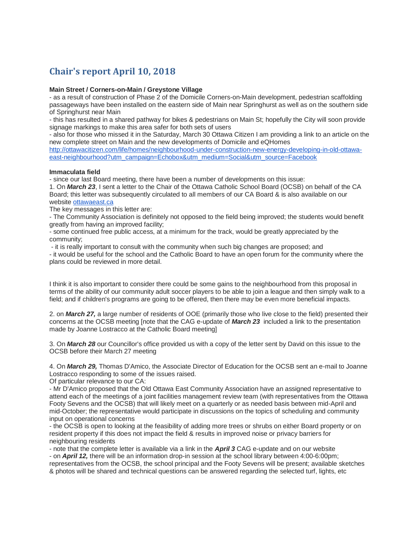# **Chair's report April 10, 2018**

### **Main Street / Corners-on-Main / Greystone Village**

- as a result of construction of Phase 2 of the Domicile Corners-on-Main development, pedestrian scaffolding passageways have been installed on the eastern side of Main near Springhurst as well as on the southern side of Springhurst near Main

- this has resulted in a shared pathway for bikes & pedestrians on Main St; hopefully the City will soon provide signage markings to make this area safer for both sets of users

- also for those who missed it in the Saturday, March 30 Ottawa Citizen I am providing a link to an article on the new complete street on Main and the new developments of Domicile and eQHomes

[http://ottawacitizen.com/life/homes/neighbourhood-under-construction-new-energy-developing-in-old-ottawa](http://ottawacitizen.com/life/homes/neighbourhood-under-construction-new-energy-developing-in-old-ottawa-east-neighbourhood?utm_campaign=Echobox&utm_medium=Social&utm_source=Facebook)[east-neighbourhood?utm\\_campaign=Echobox&utm\\_medium=Social&utm\\_source=Facebook](http://ottawacitizen.com/life/homes/neighbourhood-under-construction-new-energy-developing-in-old-ottawa-east-neighbourhood?utm_campaign=Echobox&utm_medium=Social&utm_source=Facebook)

#### **Immaculata field**

- since our last Board meeting, there have been a number of developments on this issue:

1. On *March 23*, I sent a letter to the Chair of the Ottawa Catholic School Board (OCSB) on behalf of the CA Board; this letter was subsequently circulated to all members of our CA Board & is also available on our website [ottawaeast.ca](http://ottawaeast.ca/)

The key messages in this letter are:

- The Community Association is definitely not opposed to the field being improved; the students would benefit greatly from having an improved facility;

- some continued free public access, at a minimum for the track, would be greatly appreciated by the community;

- it is really important to consult with the community when such big changes are proposed; and

- it would be useful for the school and the Catholic Board to have an open forum for the community where the plans could be reviewed in more detail.

I think it is also important to consider there could be some gains to the neighbourhood from this proposal in terms of the ability of our community adult soccer players to be able to join a league and then simply walk to a field; and if children's programs are going to be offered, then there may be even more beneficial impacts.

2. on *March 27,* a large number of residents of OOE (primarily those who live close to the field) presented their concerns at the OCSB meeting [note that the CAG e-update of *March 23* included a link to the presentation made by Joanne Lostracco at the Catholic Board meeting]

3. On *March 28* our Councillor's office provided us with a copy of the letter sent by David on this issue to the OCSB before their March 27 meeting

4. On *March 29,* Thomas D'Amico, the Associate Director of Education for the OCSB sent an e-mail to Joanne Lostracco responding to some of the issues raised.

Of particular relevance to our CA:

- Mr D'Amico proposed that the Old Ottawa East Community Association have an assigned representative to attend each of the meetings of a joint facilities management review team (with representatives from the Ottawa Footy Sevens and the OCSB) that will likely meet on a quarterly or as needed basis between mid-April and mid-October; the representative would participate in discussions on the topics of scheduling and community input on operational concerns

- the OCSB is open to looking at the feasibility of adding more trees or shrubs on either Board property or on resident property if this does not impact the field & results in improved noise or privacy barriers for neighbouring residents

- note that the complete letter is available via a link in the *April 3* CAG e-update and on our website

- on *April 12,* there will be an information drop-in session at the school library between 4:00-6:00pm; representatives from the OCSB, the school principal and the Footy Sevens will be present; available sketches & photos will be shared and technical questions can be answered regarding the selected turf, lights, etc